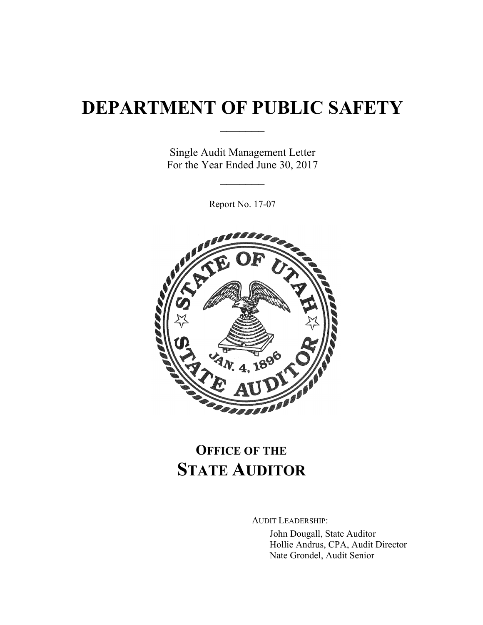# **DEPARTMENT OF PUBLIC SAFETY**

 $\frac{1}{2}$ 

Single Audit Management Letter For the Year Ended June 30, 2017

 $\frac{1}{2}$ 

Report No. 17-07



## **OFFICE OF THE STATE AUDITOR**

AUDIT LEADERSHIP:

John Dougall, State Auditor Hollie Andrus, CPA, Audit Director Nate Grondel, Audit Senior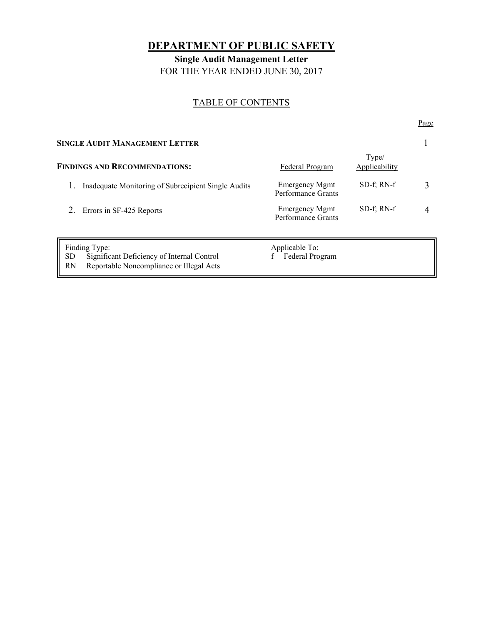## **DEPARTMENT OF PUBLIC SAFETY**

**Single Audit Management Letter**  FOR THE YEAR ENDED JUNE 30, 2017

#### TABLE OF CONTENTS

Page **Page** 

| <b>SINGLE AUDIT MANAGEMENT LETTER</b>                                                                                             |                                             |                        |  |
|-----------------------------------------------------------------------------------------------------------------------------------|---------------------------------------------|------------------------|--|
| <b>FINDINGS AND RECOMMENDATIONS:</b>                                                                                              | Federal Program                             | Type/<br>Applicability |  |
| Inadequate Monitoring of Subrecipient Single Audits                                                                               | <b>Emergency Mgmt</b><br>Performance Grants | $SD-f: RN-f$           |  |
| Errors in SF-425 Reports                                                                                                          | <b>Emergency Mgmt</b><br>Performance Grants | $SD-f$ ; RN- $f$       |  |
| <b>Finding Type:</b><br><b>SD</b><br>Significant Deficiency of Internal Control<br>Reportable Noncompliance or Illegal Acts<br>RN | <b>Applicable To:</b><br>Federal Program    |                        |  |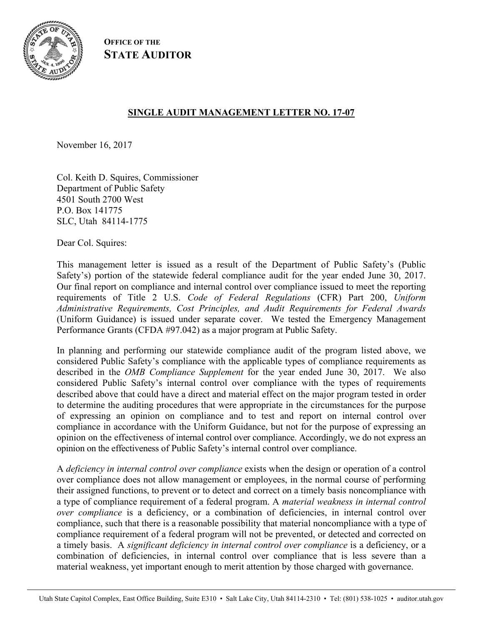

**OFFICE OF THE STATE AUDITOR**

#### **SINGLE AUDIT MANAGEMENT LETTER NO. 17-07**

November 16, 2017

Col. Keith D. Squires, Commissioner Department of Public Safety 4501 South 2700 West P.O. Box 141775 SLC, Utah 84114-1775

Dear Col. Squires:

This management letter is issued as a result of the Department of Public Safety's (Public Safety's) portion of the statewide federal compliance audit for the year ended June 30, 2017. Our final report on compliance and internal control over compliance issued to meet the reporting requirements of Title 2 U.S. *Code of Federal Regulations* (CFR) Part 200, *Uniform Administrative Requirements, Cost Principles, and Audit Requirements for Federal Awards* (Uniform Guidance) is issued under separate cover. We tested the Emergency Management Performance Grants (CFDA #97.042) as a major program at Public Safety.

In planning and performing our statewide compliance audit of the program listed above, we considered Public Safety's compliance with the applicable types of compliance requirements as described in the *OMB Compliance Supplement* for the year ended June 30, 2017. We also considered Public Safety's internal control over compliance with the types of requirements described above that could have a direct and material effect on the major program tested in order to determine the auditing procedures that were appropriate in the circumstances for the purpose of expressing an opinion on compliance and to test and report on internal control over compliance in accordance with the Uniform Guidance, but not for the purpose of expressing an opinion on the effectiveness of internal control over compliance. Accordingly, we do not express an opinion on the effectiveness of Public Safety's internal control over compliance.

A *deficiency in internal control over compliance* exists when the design or operation of a control over compliance does not allow management or employees, in the normal course of performing their assigned functions, to prevent or to detect and correct on a timely basis noncompliance with a type of compliance requirement of a federal program. A *material weakness in internal control over compliance* is a deficiency, or a combination of deficiencies, in internal control over compliance, such that there is a reasonable possibility that material noncompliance with a type of compliance requirement of a federal program will not be prevented, or detected and corrected on a timely basis. A *significant deficiency in internal control over compliance* is a deficiency, or a combination of deficiencies, in internal control over compliance that is less severe than a material weakness, yet important enough to merit attention by those charged with governance.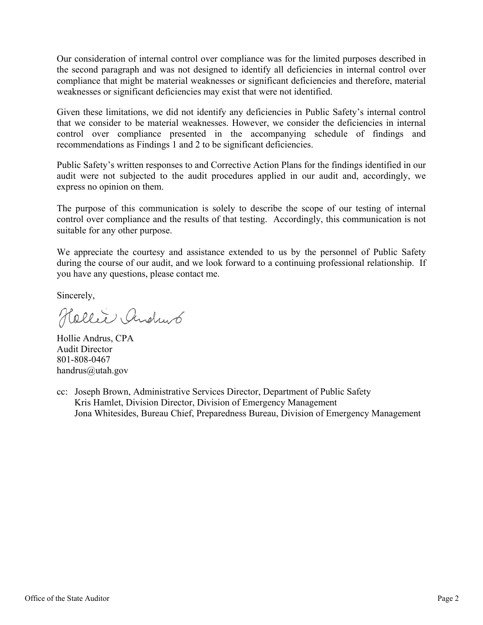Our consideration of internal control over compliance was for the limited purposes described in the second paragraph and was not designed to identify all deficiencies in internal control over compliance that might be material weaknesses or significant deficiencies and therefore, material weaknesses or significant deficiencies may exist that were not identified.

Given these limitations, we did not identify any deficiencies in Public Safety's internal control that we consider to be material weaknesses. However, we consider the deficiencies in internal control over compliance presented in the accompanying schedule of findings and recommendations as Findings 1 and 2 to be significant deficiencies.

Public Safety's written responses to and Corrective Action Plans for the findings identified in our audit were not subjected to the audit procedures applied in our audit and, accordingly, we express no opinion on them.

The purpose of this communication is solely to describe the scope of our testing of internal control over compliance and the results of that testing. Accordingly, this communication is not suitable for any other purpose.

We appreciate the courtesy and assistance extended to us by the personnel of Public Safety during the course of our audit, and we look forward to a continuing professional relationship. If you have any questions, please contact me.

Sincerely,

Hellie Andrus

Hollie Andrus, CPA Audit Director 801-808-0467 handrus@utah.gov

cc: Joseph Brown, Administrative Services Director, Department of Public Safety Kris Hamlet, Division Director, Division of Emergency Management Jona Whitesides, Bureau Chief, Preparedness Bureau, Division of Emergency Management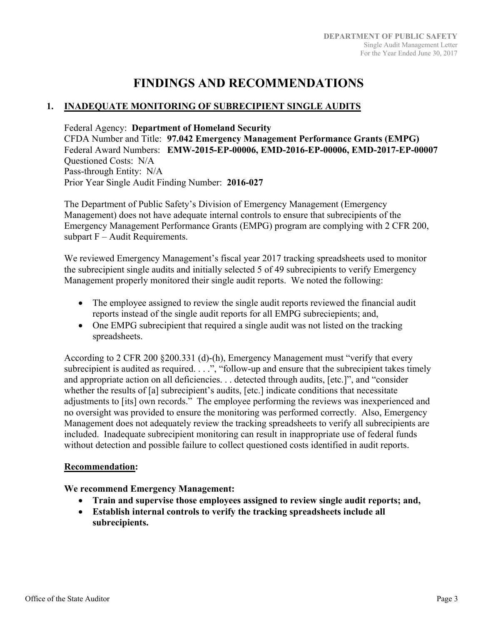### **FINDINGS AND RECOMMENDATIONS**

#### **1. INADEQUATE MONITORING OF SUBRECIPIENT SINGLE AUDITS**

Federal Agency: **Department of Homeland Security**  CFDA Number and Title: **97.042 Emergency Management Performance Grants (EMPG)**  Federal Award Numbers: **EMW-2015-EP-00006, EMD-2016-EP-00006, EMD-2017-EP-00007**  Questioned Costs: N/A Pass-through Entity: N/A Prior Year Single Audit Finding Number: **2016-027**

The Department of Public Safety's Division of Emergency Management (Emergency Management) does not have adequate internal controls to ensure that subrecipients of the Emergency Management Performance Grants (EMPG) program are complying with 2 CFR 200, subpart F – Audit Requirements.

We reviewed Emergency Management's fiscal year 2017 tracking spreadsheets used to monitor the subrecipient single audits and initially selected 5 of 49 subrecipients to verify Emergency Management properly monitored their single audit reports. We noted the following:

- The employee assigned to review the single audit reports reviewed the financial audit reports instead of the single audit reports for all EMPG subreciepients; and,
- One EMPG subrecipient that required a single audit was not listed on the tracking spreadsheets.

According to 2 CFR 200 §200.331 (d)-(h), Emergency Management must "verify that every subrecipient is audited as required. . . .", "follow-up and ensure that the subrecipient takes timely and appropriate action on all deficiencies. . . detected through audits, [etc.]", and "consider whether the results of [a] subrecipient's audits, [etc.] indicate conditions that necessitate adjustments to [its] own records." The employee performing the reviews was inexperienced and no oversight was provided to ensure the monitoring was performed correctly. Also, Emergency Management does not adequately review the tracking spreadsheets to verify all subrecipients are included. Inadequate subrecipient monitoring can result in inappropriate use of federal funds without detection and possible failure to collect questioned costs identified in audit reports.

#### **Recommendation:**

#### **We recommend Emergency Management:**

- **Train and supervise those employees assigned to review single audit reports; and,**
- **Establish internal controls to verify the tracking spreadsheets include all subrecipients.**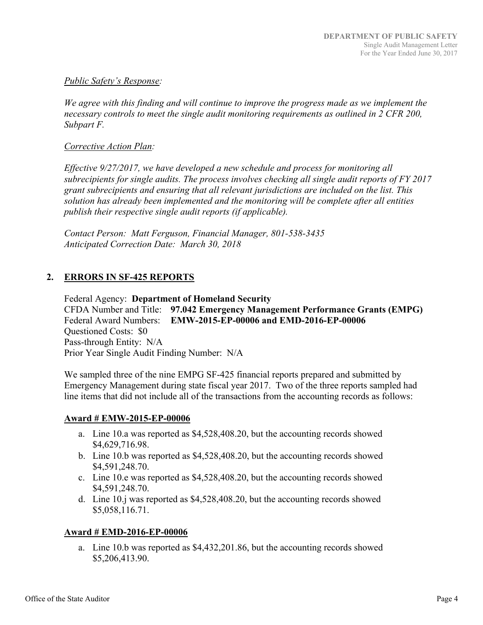#### *Public Safety's Response:*

*We agree with this finding and will continue to improve the progress made as we implement the necessary controls to meet the single audit monitoring requirements as outlined in 2 CFR 200, Subpart F.* 

#### *Corrective Action Plan:*

*Effective 9/27/2017, we have developed a new schedule and process for monitoring all subrecipients for single audits. The process involves checking all single audit reports of FY 2017 grant subrecipients and ensuring that all relevant jurisdictions are included on the list. This solution has already been implemented and the monitoring will be complete after all entities publish their respective single audit reports (if applicable).* 

*Contact Person: Matt Ferguson, Financial Manager, 801-538-3435 Anticipated Correction Date: March 30, 2018* 

#### **2. ERRORS IN SF-425 REPORTS**

Federal Agency: **Department of Homeland Security**  CFDA Number and Title: **97.042 Emergency Management Performance Grants (EMPG)**  Federal Award Numbers: **EMW-2015-EP-00006 and EMD-2016-EP-00006** Questioned Costs: \$0 Pass-through Entity: N/A Prior Year Single Audit Finding Number: N/A

We sampled three of the nine EMPG SF-425 financial reports prepared and submitted by Emergency Management during state fiscal year 2017. Two of the three reports sampled had line items that did not include all of the transactions from the accounting records as follows:

#### **Award # EMW-2015-EP-00006**

- a. Line 10.a was reported as \$4,528,408.20, but the accounting records showed \$4,629,716.98.
- b. Line 10.b was reported as \$4,528,408.20, but the accounting records showed \$4,591,248.70.
- c. Line 10.e was reported as \$4,528,408.20, but the accounting records showed \$4,591,248.70.
- d. Line 10.j was reported as \$4,528,408.20, but the accounting records showed \$5,058,116.71.

#### **Award # EMD-2016-EP-00006**

a. Line 10.b was reported as \$4,432,201.86, but the accounting records showed \$5,206,413.90.